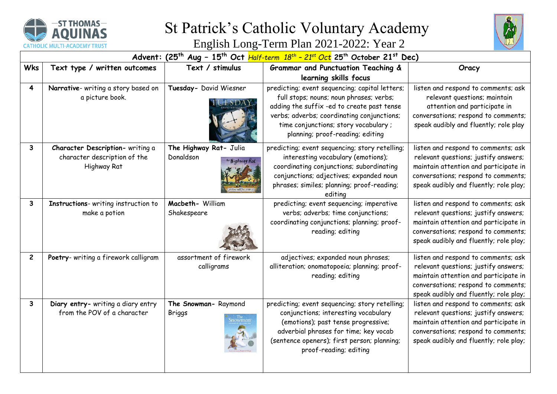

## St Patrick's Catholic Voluntary Academy



English Long-Term Plan 2021-2022: Year 2

|                         | Advent: $(25th Aug - 15th Oct Half-term 18th - 21st Octth October 21st Dec)$    |                                                         |                                                                                                                                                                                                                                                                   |                                                                                                                                                                                                       |  |  |  |
|-------------------------|---------------------------------------------------------------------------------|---------------------------------------------------------|-------------------------------------------------------------------------------------------------------------------------------------------------------------------------------------------------------------------------------------------------------------------|-------------------------------------------------------------------------------------------------------------------------------------------------------------------------------------------------------|--|--|--|
| <b>Wks</b>              | Text type / written outcomes                                                    | Text / stimulus                                         | Grammar and Punctuation Teaching &                                                                                                                                                                                                                                | Oracy                                                                                                                                                                                                 |  |  |  |
|                         |                                                                                 |                                                         | learning skills focus                                                                                                                                                                                                                                             |                                                                                                                                                                                                       |  |  |  |
| $\overline{\mathbf{4}}$ | Narrative- writing a story based on<br>a picture book.                          | Tuesday- David Wiesner<br>$\sim$ DA                     | predicting; event sequencing; capital letters;<br>full stops; nouns; noun phrases; verbs;<br>adding the suffix -ed to create past tense<br>verbs; adverbs; coordinating conjunctions;<br>time conjunctions; story vocabulary;<br>planning; proof-reading; editing | listen and respond to comments; ask<br>relevant questions; maintain<br>attention and participate in<br>conversations; respond to comments;<br>speak audibly and fluently; role play                   |  |  |  |
| $\mathbf{3}$            | Character Description- writing a<br>character description of the<br>Highway Rat | The Highway Rat- Julia<br>Donaldson<br>The Highway Rat. | predicting; event sequencing; story retelling;<br>interesting vocabulary (emotions);<br>coordinating conjunctions; subordinating<br>conjunctions; adjectives; expanded noun<br>phrases; similes; planning; proof-reading;<br>editina                              | listen and respond to comments; ask<br>relevant questions; justify answers;<br>maintain attention and participate in<br>conversations; respond to comments;<br>speak audibly and fluently; role play; |  |  |  |
| 3                       | Instructions- writing instruction to<br>make a potion                           | Macbeth- William<br>Shakespeare                         | predicting; event sequencing; imperative<br>verbs; adverbs; time conjunctions;<br>coordinating conjunctions; planning; proof-<br>reading; editing                                                                                                                 | listen and respond to comments; ask<br>relevant questions; justify answers;<br>maintain attention and participate in<br>conversations; respond to comments;<br>speak audibly and fluently; role play; |  |  |  |
| $\mathbf{2}$            | Poetry- writing a firework calligram                                            | assortment of firework<br>calligrams                    | adjectives; expanded noun phrases;<br>alliteration; onomatopoeia; planning; proof-<br>reading; editing                                                                                                                                                            | listen and respond to comments; ask<br>relevant questions; justify answers;<br>maintain attention and participate in<br>conversations; respond to comments;<br>speak audibly and fluently; role play; |  |  |  |
| 3                       | Diary entry- writing a diary entry<br>from the POV of a character               | The Snowman-Raymond<br><b>Briggs</b><br>nowman          | predicting; event sequencing; story retelling;<br>conjunctions; interesting vocabulary<br>(emotions); past tense progressive;<br>adverbial phrases for time; key vocab<br>(sentence openers); first person; planning;<br>proof-reading; editing                   | listen and respond to comments; ask<br>relevant questions; justify answers;<br>maintain attention and participate in<br>conversations; respond to comments;<br>speak audibly and fluently; role play; |  |  |  |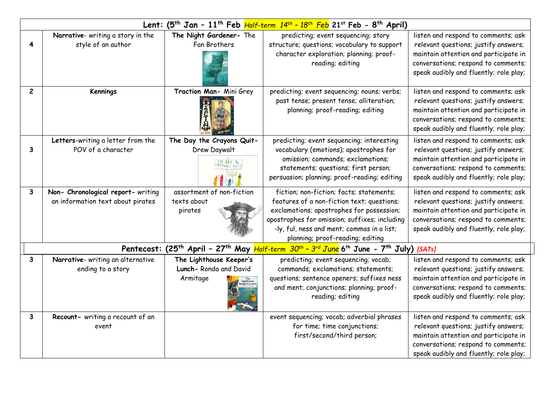| Lent: $(5^{th}$ Jan - 11 <sup>th</sup> Feb <i>Half-term 14<sup>th</sup> - 18<sup>th</sup> Feb</i> 21 <sup>st</sup> Feb - 8 <sup>th</sup> April) |                                                                                                                                                                      |                                                              |                                                                                                                                                                                                                                                                        |                                                                                                                                                                                                       |  |  |
|-------------------------------------------------------------------------------------------------------------------------------------------------|----------------------------------------------------------------------------------------------------------------------------------------------------------------------|--------------------------------------------------------------|------------------------------------------------------------------------------------------------------------------------------------------------------------------------------------------------------------------------------------------------------------------------|-------------------------------------------------------------------------------------------------------------------------------------------------------------------------------------------------------|--|--|
| 4                                                                                                                                               | Narrative- writing a story in the<br>style of an author                                                                                                              | The Night Gardener- The<br>Fan Brothers                      | predicting; event sequencing; story<br>structure; questions; vocabulary to support<br>character exploration; planning; proof-<br>reading; editing                                                                                                                      | listen and respond to comments; ask<br>relevant questions; justify answers;<br>maintain attention and participate in<br>conversations; respond to comments;<br>speak audibly and fluently; role play; |  |  |
| $\overline{c}$                                                                                                                                  | <b>Kennings</b>                                                                                                                                                      | Traction Man- Mini Grey                                      | predicting; event sequencing; nouns; verbs;<br>past tense; present tense; alliteration;<br>planning; proof-reading; editing                                                                                                                                            | listen and respond to comments; ask<br>relevant questions; justify answers;<br>maintain attention and participate in<br>conversations; respond to comments;<br>speak audibly and fluently; role play; |  |  |
| 3                                                                                                                                               | Letters-writing a letter from the<br>POV of a character                                                                                                              | The Day the Crayons Quit-<br>Drew Daywalt                    | predicting; event sequencing; interesting<br>vocabulary (emotions); apostrophes for<br>omission; commands; exclamations;<br>statements; questions; first person;<br>persuasion; planning; proof-reading; editing                                                       | listen and respond to comments; ask<br>relevant questions; justify answers;<br>maintain attention and participate in<br>conversations; respond to comments;<br>speak audibly and fluently; role play; |  |  |
| 3                                                                                                                                               | Non- Chronological report- writing<br>an information text about pirates                                                                                              | assortment of non-fiction<br>texts about<br>pirates          | fiction; non-fiction; facts; statements;<br>features of a non-fiction text; questions;<br>exclamations; apostrophes for possession;<br>apostrophes for omission; suffixes; including<br>-ly, ful, ness and ment; commas in a list;<br>planning; proof-reading; editing | listen and respond to comments; ask<br>relevant questions; justify answers;<br>maintain attention and participate in<br>conversations; respond to comments;<br>speak audibly and fluently; role play; |  |  |
|                                                                                                                                                 | Pentecost: (25 <sup>th</sup> April - 27 <sup>th</sup> May <i>Half-term 30<sup>th</sup> - 3<sup>rd</sup> June</i> 6 <sup>th</sup> June - 7 <sup>th</sup> July) [SATs] |                                                              |                                                                                                                                                                                                                                                                        |                                                                                                                                                                                                       |  |  |
| $\mathbf{3}$                                                                                                                                    | Narrative- writing an alternative<br>ending to a story                                                                                                               | The Lighthouse Keeper's<br>Lunch-Ronda and David<br>Armitage | predicting; event sequencing; vocab;<br>commands; exclamations; statements;<br>questions; sentence openers; suffixes ness<br>and ment; conjunctions; planning; proof-<br>reading; editing                                                                              | listen and respond to comments; ask<br>relevant questions; justify answers;<br>maintain attention and participate in<br>conversations; respond to comments;<br>speak audibly and fluently; role play; |  |  |
| $\mathbf{3}$                                                                                                                                    | Recount- writing a recount of an<br>event                                                                                                                            |                                                              | event sequencing; vocab; adverbial phrases<br>for time; time conjunctions;<br>first/second/third person;                                                                                                                                                               | listen and respond to comments; ask<br>relevant questions; justify answers;<br>maintain attention and participate in<br>conversations; respond to comments;<br>speak audibly and fluently; role play; |  |  |